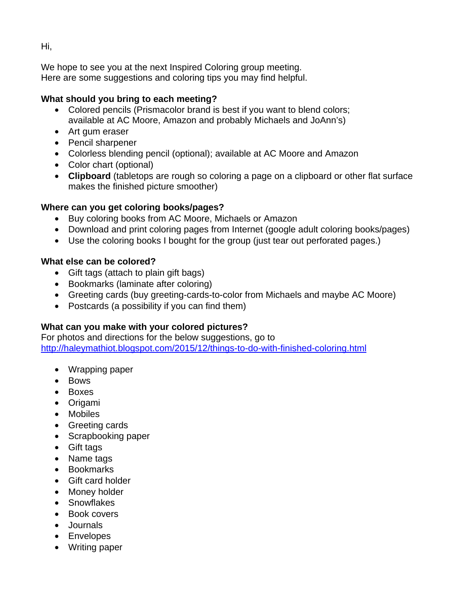We hope to see you at the next Inspired Coloring group meeting. Here are some suggestions and coloring tips you may find helpful.

# **What should you bring to each meeting?**

- Colored pencils (Prismacolor brand is best if you want to blend colors; available at AC Moore, Amazon and probably Michaels and JoAnn's)
- Art gum eraser
- Pencil sharpener
- Colorless blending pencil (optional); available at AC Moore and Amazon
- Color chart (optional)
- **Clipboard** (tabletops are rough so coloring a page on a clipboard or other flat surface makes the finished picture smoother)

# **Where can you get coloring books/pages?**

- Buy coloring books from AC Moore, Michaels or Amazon
- Download and print coloring pages from Internet (google adult coloring books/pages)
- Use the coloring books I bought for the group (just tear out perforated pages.)

# **What else can be colored?**

- Gift tags (attach to plain gift bags)
- Bookmarks (laminate after coloring)
- Greeting cards (buy greeting-cards-to-color from Michaels and maybe AC Moore)
- Postcards (a possibility if you can find them)

# **What can you make with your colored pictures?**

For photos and directions for the below suggestions, go to <http://haleymathiot.blogspot.com/2015/12/things-to-do-with-finished-coloring.html>

- Wrapping paper
- Bows
- Boxes
- Origami
- Mobiles
- Greeting cards
- Scrapbooking paper
- Gift tags
- Name tags
- Bookmarks
- Gift card holder
- Money holder
- Snowflakes
- Book covers
- Journals
- Envelopes
- Writing paper

Hi,